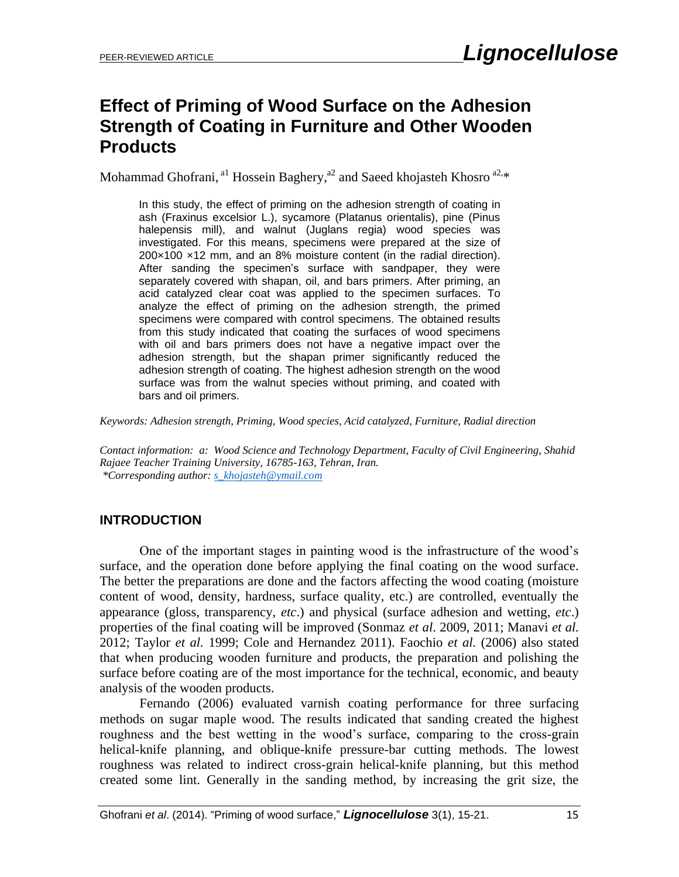# **Effect of Priming of Wood Surface on the Adhesion Strength of Coating in Furniture and Other Wooden Products**

Mohammad Ghofrani, <sup>a1</sup> Hossein Baghery, <sup>a2</sup> and Saeed khojasteh Khosro <sup>a2,\*</sup>

In this study, the effect of priming on the adhesion strength of coating in ash (Fraxinus excelsior L.), sycamore (Platanus orientalis), pine (Pinus halepensis mill), and walnut (Juglans regia) wood species was investigated. For this means, specimens were prepared at the size of 200×100 ×12 mm, and an 8% moisture content (in the radial direction). After sanding the specimen's surface with sandpaper, they were separately covered with shapan, oil, and bars primers. After priming, an acid catalyzed clear coat was applied to the specimen surfaces. To analyze the effect of priming on the adhesion strength, the primed specimens were compared with control specimens. The obtained results from this study indicated that coating the surfaces of wood specimens with oil and bars primers does not have a negative impact over the adhesion strength, but the shapan primer significantly reduced the adhesion strength of coating. The highest adhesion strength on the wood surface was from the walnut species without priming, and coated with bars and oil primers.

*Keywords: Adhesion strength, Priming, Wood species, Acid catalyzed, Furniture, Radial direction*

*Contact information: a: Wood Science and Technology Department, Faculty of Civil Engineering, Shahid Rajaee Teacher Training University, 16785-163, Tehran, Iran. \*Corresponding author: [s\\_khojasteh@ymail.com](mailto:s_khojasteh@ymail.com)*

# **INTRODUCTION**

 One of the important stages in painting wood is the infrastructure of the wood's surface, and the operation done before applying the final coating on the wood surface. The better the preparations are done and the factors affecting the wood coating (moisture content of wood, density, hardness, surface quality, etc.) are controlled, eventually the appearance (gloss, transparency, *etc*.) and physical (surface adhesion and wetting, *etc*.) properties of the final coating will be improved (Sonmaz *et al*. 2009, 2011; Manavi *et al.* 2012; Taylor *et al.* 1999; Cole and Hernandez 2011). Faochio *et al.* (2006) also stated that when producing wooden furniture and products, the preparation and polishing the surface before coating are of the most importance for the technical, economic, and beauty analysis of the wooden products.

 Fernando (2006) evaluated varnish coating performance for three surfacing methods on sugar maple wood. The results indicated that sanding created the highest roughness and the best wetting in the wood's surface, comparing to the cross-grain helical-knife planning, and oblique-knife pressure-bar cutting methods. The lowest roughness was related to indirect cross-grain helical-knife planning, but this method created some lint. Generally in the sanding method, by increasing the grit size, the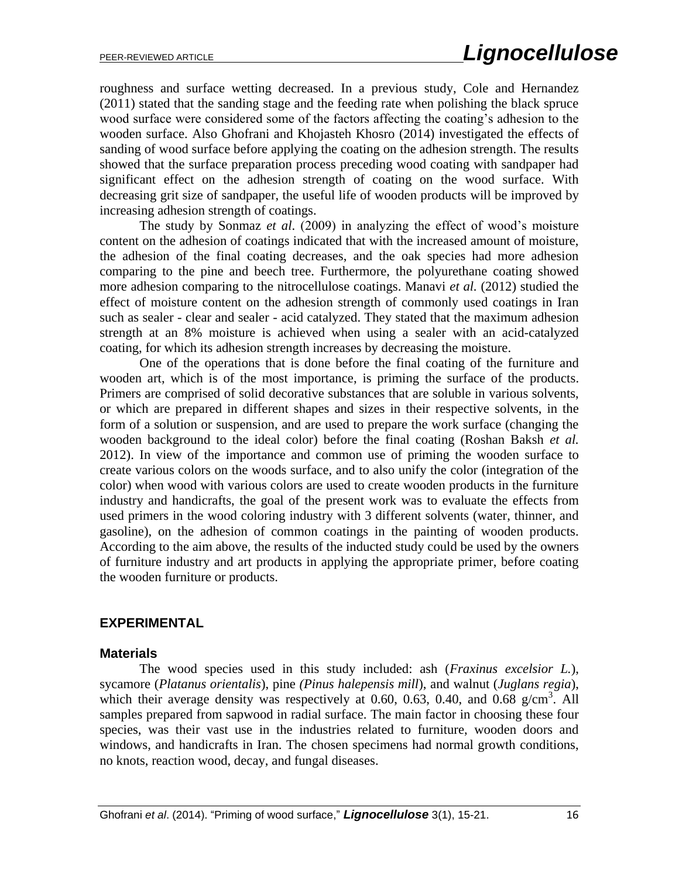roughness and surface wetting decreased. In a previous study, Cole and Hernandez (2011) stated that the sanding stage and the feeding rate when polishing the black spruce wood surface were considered some of the factors affecting the coating's adhesion to the wooden surface. Also Ghofrani and Khojasteh Khosro (2014) investigated the effects of sanding of wood surface before applying the coating on the adhesion strength. The results showed that the surface preparation process preceding wood coating with sandpaper had significant effect on the adhesion strength of coating on the wood surface. With decreasing grit size of sandpaper, the useful life of wooden products will be improved by increasing adhesion strength of coatings.

 The study by Sonmaz *et al*. (2009) in analyzing the effect of wood's moisture content on the adhesion of coatings indicated that with the increased amount of moisture, the adhesion of the final coating decreases, and the oak species had more adhesion comparing to the pine and beech tree. Furthermore, the polyurethane coating showed more adhesion comparing to the nitrocellulose coatings. Manavi *et al.* (2012) studied the effect of moisture content on the adhesion strength of commonly used coatings in Iran such as sealer - clear and sealer - acid catalyzed. They stated that the maximum adhesion strength at an 8% moisture is achieved when using a sealer with an acid-catalyzed coating, for which its adhesion strength increases by decreasing the moisture.

 One of the operations that is done before the final coating of the furniture and wooden art, which is of the most importance, is priming the surface of the products. Primers are comprised of solid decorative substances that are soluble in various solvents, or which are prepared in different shapes and sizes in their respective solvents, in the form of a solution or suspension, and are used to prepare the work surface (changing the wooden background to the ideal color) before the final coating (Roshan Baksh *et al.* 2012). In view of the importance and common use of priming the wooden surface to create various colors on the woods surface, and to also unify the color (integration of the color) when wood with various colors are used to create wooden products in the furniture industry and handicrafts, the goal of the present work was to evaluate the effects from used primers in the wood coloring industry with 3 different solvents (water, thinner, and gasoline), on the adhesion of common coatings in the painting of wooden products. According to the aim above, the results of the inducted study could be used by the owners of furniture industry and art products in applying the appropriate primer, before coating the wooden furniture or products.

#### **EXPERIMENTAL**

#### **Materials**

 The wood species used in this study included: ash (*Fraxinus excelsior L.*), sycamore (*Platanus orientalis*), pine *(Pinus halepensis mill*), and walnut (*Juglans regia*), which their average density was respectively at 0.60, 0.63, 0.40, and 0.68  $g/cm^3$ . All samples prepared from sapwood in radial surface. The main factor in choosing these four species, was their vast use in the industries related to furniture, wooden doors and windows, and handicrafts in Iran. The chosen specimens had normal growth conditions, no knots, reaction wood, decay, and fungal diseases.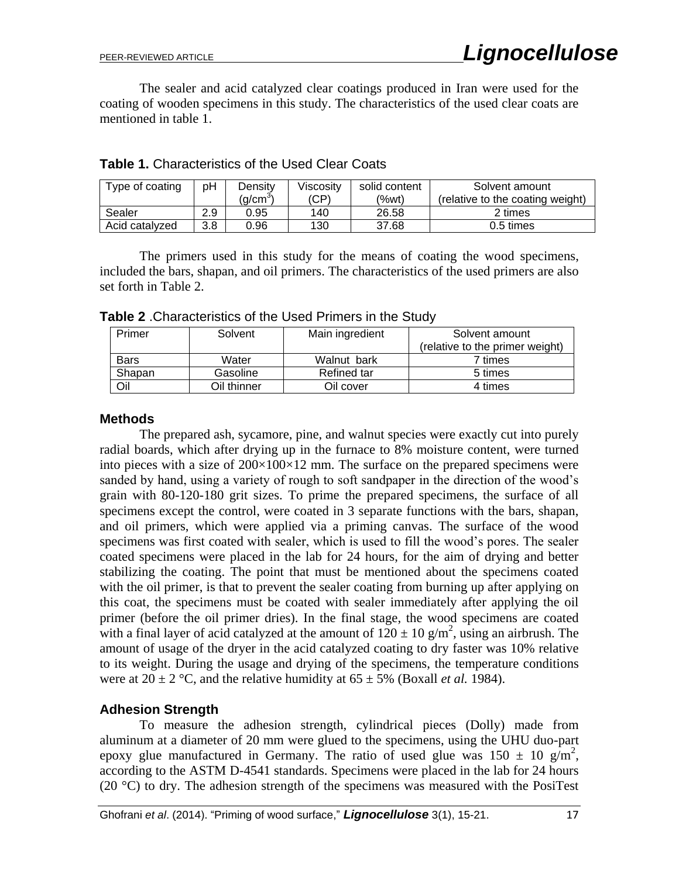The sealer and acid catalyzed clear coatings produced in Iran were used for the coating of wooden specimens in this study. The characteristics of the used clear coats are mentioned in table 1.

| Type of coating | рH  | Densitv<br>$(q/cm^3)$ | Viscosity<br>(CP) | solid content<br>(%wt) | Solvent amount<br>(relative to the coating weight) |
|-----------------|-----|-----------------------|-------------------|------------------------|----------------------------------------------------|
| Sealer          | 2.9 | 0.95                  | 140               | 26.58                  | 2 times                                            |
| Acid catalyzed  | 3.8 | ა.96                  | 130               | 37.68                  | 0.5 times                                          |

**Table 1.** Characteristics of the Used Clear Coats

The primers used in this study for the means of coating the wood specimens, included the bars, shapan, and oil primers. The characteristics of the used primers are also set forth in Table 2.

Solvent amount (relative to the primer weight) Primer | Solvent | Main ingredient Bars | Water | Walnut bark | 7 times Shapan | Gasoline | Refined tar | 5 times Oil 10 Oil thinner 1 Oil cover 1 4 times

**Table 2** .Characteristics of the Used Primers in the Study

#### **Methods**

 The prepared ash, sycamore, pine, and walnut species were exactly cut into purely radial boards, which after drying up in the furnace to 8% moisture content, were turned into pieces with a size of  $200\times100\times12$  mm. The surface on the prepared specimens were sanded by hand, using a variety of rough to soft sandpaper in the direction of the wood's grain with 80-120-180 grit sizes. To prime the prepared specimens, the surface of all specimens except the control, were coated in 3 separate functions with the bars, shapan, and oil primers, which were applied via a priming canvas. The surface of the wood specimens was first coated with sealer, which is used to fill the wood's pores. The sealer coated specimens were placed in the lab for 24 hours, for the aim of drying and better stabilizing the coating. The point that must be mentioned about the specimens coated with the oil primer, is that to prevent the sealer coating from burning up after applying on this coat, the specimens must be coated with sealer immediately after applying the oil primer (before the oil primer dries). In the final stage, the wood specimens are coated with a final layer of acid catalyzed at the amount of  $120 \pm 10$  g/m<sup>2</sup>, using an airbrush. The amount of usage of the dryer in the acid catalyzed coating to dry faster was 10% relative to its weight. During the usage and drying of the specimens, the temperature conditions were at  $20 \pm 2$  °C, and the relative humidity at  $65 \pm 5$ % (Boxall *et al.* 1984).

#### **Adhesion Strength**

To measure the adhesion strength, cylindrical pieces (Dolly) made from aluminum at a diameter of 20 mm were glued to the specimens, using the UHU duo-part epoxy glue manufactured in Germany. The ratio of used glue was  $150 \pm 10$  g/m<sup>2</sup>, according to the ASTM D-4541 standards. Specimens were placed in the lab for 24 hours (20  $^{\circ}$ C) to dry. The adhesion strength of the specimens was measured with the PosiTest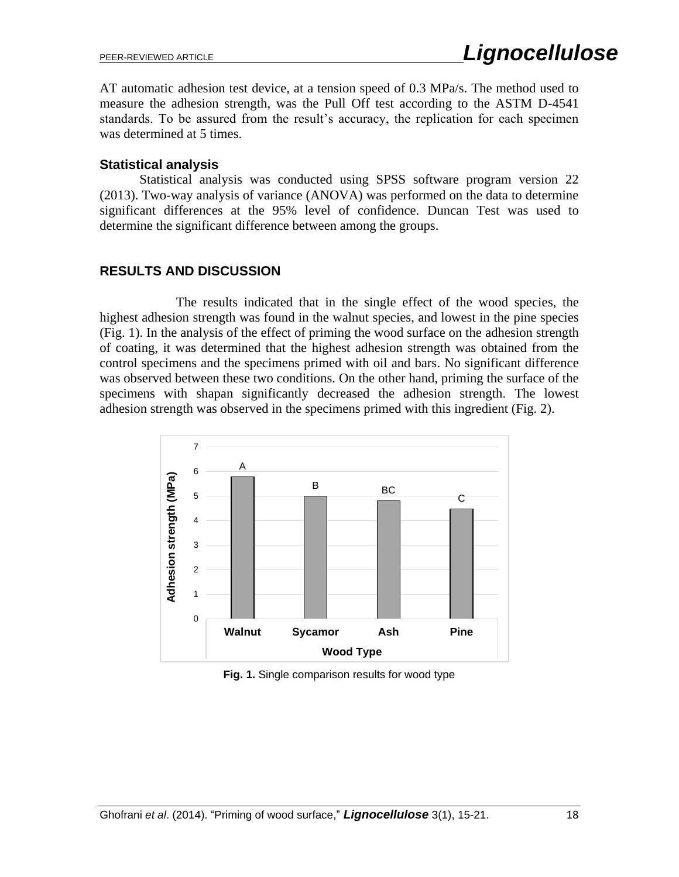AT automatic adhesion test device, at a tension speed of 0.3 MPa/s. The method used to measure the adhesion strength, was the Pull Off test according to the ASTM D-4541 standards. To be assured from the result's accuracy, the replication for each specimen was determined at 5 times.

#### **Statistical analysis**

Statistical analysis was conducted using SPSS software program version 22 (2013). Two-way analysis of variance (ANOVA) was performed on the data to determine significant differences at the 95% level of confidence. Duncan Test was used to determine the significant difference between among the groups.

## **RESULTS AND DISCUSSION**

 The results indicated that in the single effect of the wood species, the highest adhesion strength was found in the walnut species, and lowest in the pine species (Fig. 1). In the analysis of the effect of priming the wood surface on the adhesion strength of coating, it was determined that the highest adhesion strength was obtained from the control specimens and the specimens primed with oil and bars. No significant difference was observed between these two conditions. On the other hand, priming the surface of the specimens with shapan significantly decreased the adhesion strength. The lowest adhesion strength was observed in the specimens primed with this ingredient (Fig. 2).



**Fig. 1.** Single comparison results for wood type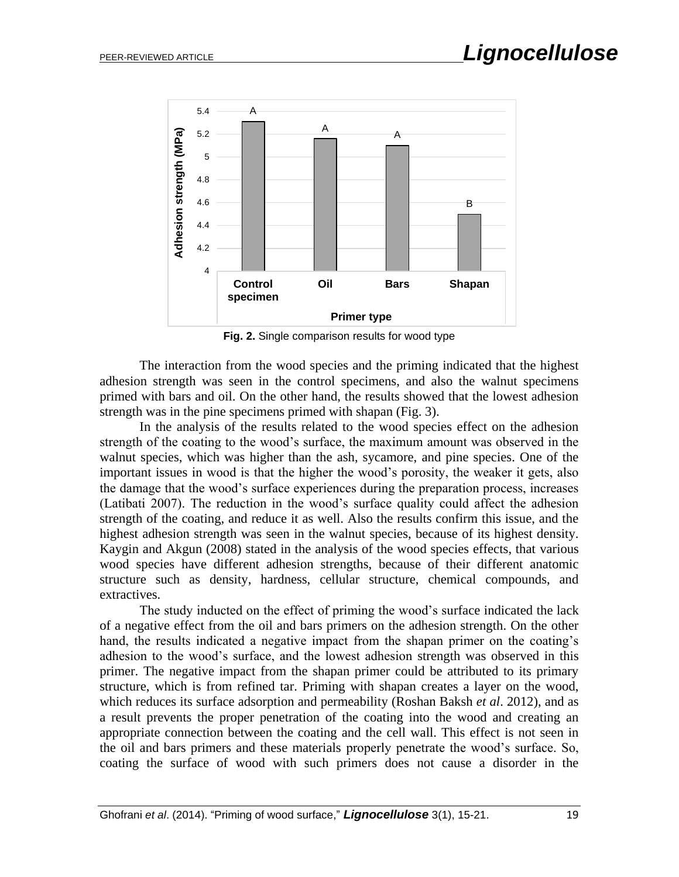

**Fig. 2.** Single comparison results for wood type

The interaction from the wood species and the priming indicated that the highest adhesion strength was seen in the control specimens, and also the walnut specimens primed with bars and oil. On the other hand, the results showed that the lowest adhesion strength was in the pine specimens primed with shapan (Fig. 3).

 In the analysis of the results related to the wood species effect on the adhesion strength of the coating to the wood's surface, the maximum amount was observed in the walnut species, which was higher than the ash, sycamore, and pine species. One of the important issues in wood is that the higher the wood's porosity, the weaker it gets, also the damage that the wood's surface experiences during the preparation process, increases (Latibati 2007). The reduction in the wood's surface quality could affect the adhesion strength of the coating, and reduce it as well. Also the results confirm this issue, and the highest adhesion strength was seen in the walnut species, because of its highest density. Kaygin and Akgun (2008) stated in the analysis of the wood species effects, that various wood species have different adhesion strengths, because of their different anatomic structure such as density, hardness, cellular structure, chemical compounds, and extractives.

 The study inducted on the effect of priming the wood's surface indicated the lack of a negative effect from the oil and bars primers on the adhesion strength. On the other hand, the results indicated a negative impact from the shapan primer on the coating's adhesion to the wood's surface, and the lowest adhesion strength was observed in this primer. The negative impact from the shapan primer could be attributed to its primary structure, which is from refined tar. Priming with shapan creates a layer on the wood, which reduces its surface adsorption and permeability (Roshan Baksh *et al*. 2012), and as a result prevents the proper penetration of the coating into the wood and creating an appropriate connection between the coating and the cell wall. This effect is not seen in the oil and bars primers and these materials properly penetrate the wood's surface. So, coating the surface of wood with such primers does not cause a disorder in the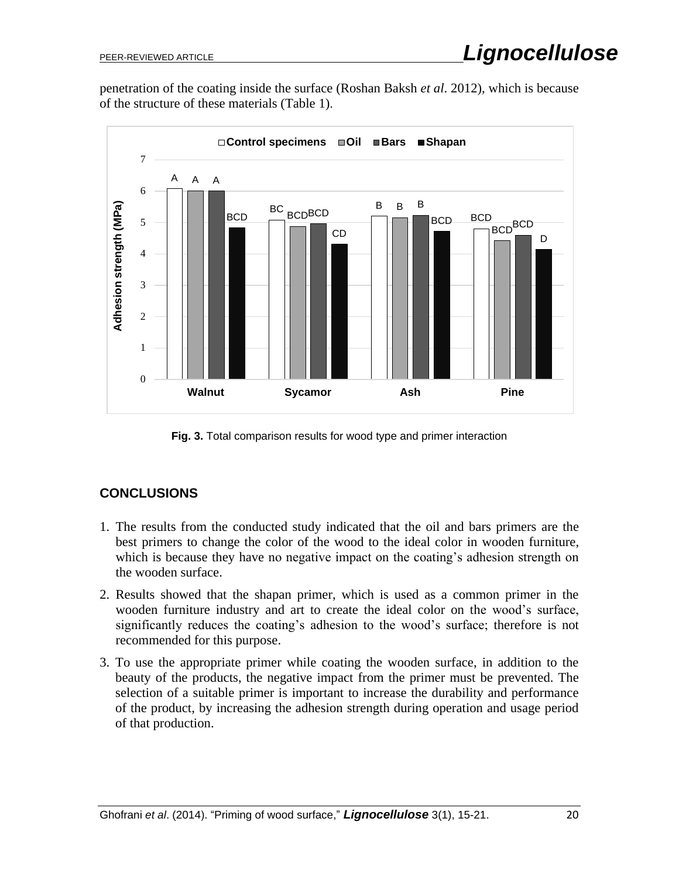penetration of the coating inside the surface (Roshan Baksh *et al*. 2012), which is because of the structure of these materials (Table 1).



**Fig. 3.** Total comparison results for wood type and primer interaction

# **CONCLUSIONS**

- 1. The results from the conducted study indicated that the oil and bars primers are the best primers to change the color of the wood to the ideal color in wooden furniture, which is because they have no negative impact on the coating's adhesion strength on the wooden surface.
- 2. Results showed that the shapan primer, which is used as a common primer in the wooden furniture industry and art to create the ideal color on the wood's surface, significantly reduces the coating's adhesion to the wood's surface; therefore is not recommended for this purpose.
- 3. To use the appropriate primer while coating the wooden surface, in addition to the beauty of the products, the negative impact from the primer must be prevented. The selection of a suitable primer is important to increase the durability and performance of the product, by increasing the adhesion strength during operation and usage period of that production.